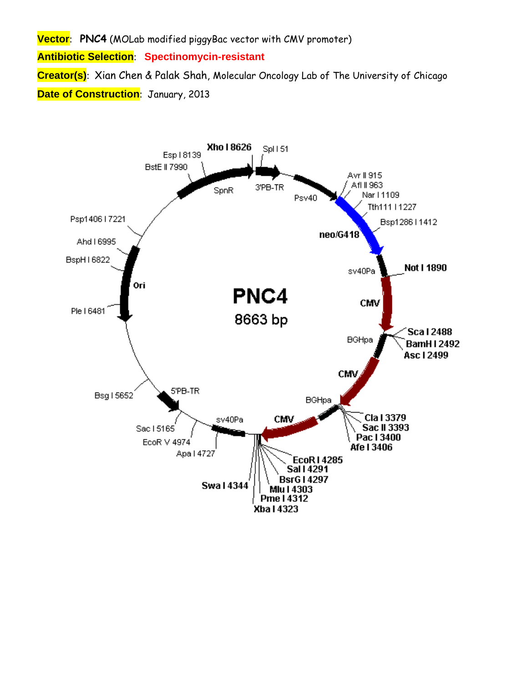**Vector**: **PNC4** (MOLab modified piggyBac vector with CMV promoter) **Antibiotic Selection**: **Spectinomycin-resistant Creator(s)**: Xian Chen & Palak Shah, Molecular Oncology Lab of The University of Chicago **Date of Construction**: January, 2013

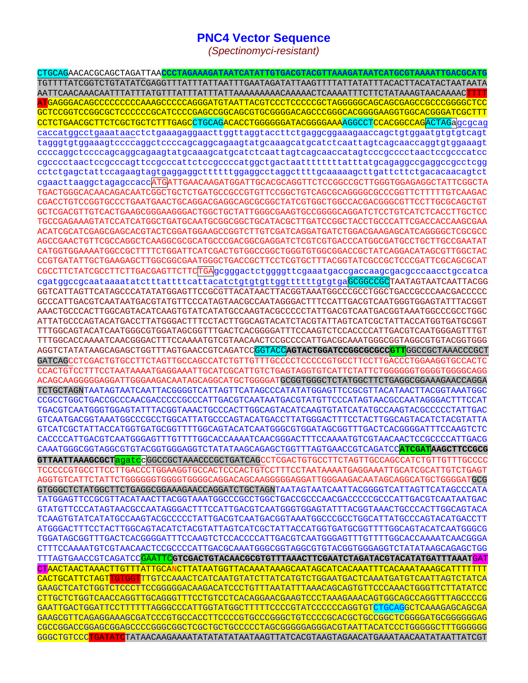## **PNC4 Vector Sequence**

*(Spectinomyci-resistant)* 

CTGCAGAACACGCAGCTAGATTAA**CCCTAGAAAGATAATCATATTGTGACGTACGTTAAAGATAATCATGCGTAAAATTGACGCATG** TGTTTTATCGGTCTGTATATCGAGGTTTATTTATTAATTTGAATAGATATTAAGTTTTATTATATTTACACTTACATACTAATAATA AATTCAACAAACAATTTATTTATGTTTATTTATTTATTAAAAAAAAACAAAAACTCAAAATTTCTTCTATAAAGTAACAAAACTTTT ATGAGGGACAGCCCCCCCCCAAAGCCCCCAGGGATGTAATTACGTCCCTCCCCCGCTAGGGGGCAGCAGCGAGCCGCCCGGGGCTCC GCTCCGGTCCGGCGCTCCCCCCGCATCCCCGAGCCGGCAGCGTGCGGGGACAGCCCGGGCACGGGGAAGGTGGCACGGGATCGCTTT CCTCTGAACGCTTCTCGCTGCTCTTTGAGCCTGCAGACACCTGGGGGGATACGGGGAAAAGGCCTCCACGCCAGACTAGaqcqcaq caccatggcctgaaataacctctgaaagaggaacttggttaggtaccttctgaggcggaaagaaccagctgtggaatgtgtgtcagt tagggtgtggaaagtccccaggctccccagcaggcagaagtatgcaaagcatgcatctcaattagtcagcaaccaggtgtggaaagt ccccaggctccccagcaggcagaagtatgcaaagcatgcatctcaattagtcagcaaccatagtcccgcccctaactccgcccatcc cgcccctaactccgcccagttccgcccattctccgccccatggctgactaattttttttatttatgcagaggccgaggccgcctcgg cctctgagctattccagaagtagtgaggaggcttttttggaggcctaggcttttgcaaaaagcttgattcttctgacacaacagtct cgaacttaaggctagagccaccATGATTGAACAAGATGGATTGCACGCAGGTTCTCCGGCCGCTTGGGTGGAGAGGCTATTCGGCTA TGACTGGGCACAACAGACAATCGGCTGCTCTGATGCCGCCGTGTTCCGGCTGTCAGCGCAGGGGCGCCCGGTTCTTTTTGTCAAGAC CGACCTGTCCGGTGCCCTGAATGAACTGCAGGACGAGGCAGCGCGGCTATCGTGGCTGGCCACGACGGGCGTTCCTTGCGCAGCTGT GCTCGACGTTGTCACTGAAGCGGGAAGGGACTGGCTGCTATTGGGCGAAGTGCCGGGGCAGGATCTCCTGTCATCTCACCTTGCTCC TGCCGAGAAAGTATCCATCATGGCTGATGCAATGCGGCGGCTGCATACGCTTGATCCGGCTACCTGCCCATTCGACCACCAAGCGAA ACATCGCATCGAGCGAGCACGTACTCGGATGGAAGCCGGTCTTGTCGATCAGGATGATCTGGACGAAGAGCATCAGGGGCTCGCGCC AGCCGAACTGTTCGCCAGGCTCAAGGCGCGCATGCCCGACGGCGAGGATCTCGTCGTGACCCATGGCGATGCCTGCTTGCCGAATAT CATGGTGGAAAATGGCCGCTTTTCTGGATTCATCGACTGTGGCCGGCTGGGTGTGGCGGACCGCTATCAGGACATAGCGTTGGCTAC CCGTGATATTGCTGAAGAGCTTGGCGGCGAATGGGCTGACCGCTTCCTCGTGCTTTACGGTATCGCCGCTCCCGATTCGCAGCGCAT CGCCTTCTATCGCCTTCTTGACGAGTTCTTCTGAgcgggactctggggttcgaaatgaccgaccaagcgacgcccaacctgccatca cgatggccgcaataaaatatctttattttcattacatctgtgtgttggttttttgtgtgaGCGGCCGCTAATAGTAATCAATTACGG GGTCATTAGTTCATAGCCCATATATGGAGTTCCGCGTTACATAACTTACGGTAAATGGCCCGCCTGGCTGACCGCCCAACGACCCCC GCCCATTGACGTCAATAATGACGTATGTTCCCATAGTAACGCCAATAGGGACTTTTCCATTGACGTCAATGGGTGAGTATTTACGGT AAACTGCCCACTTGGCAGTACATCAAGTGTATCATATGCCAAGTACGCCCCCTATTGACGTCAATGACGGTAAATGGCCCGCCTGGC ATTATGCCCAGTACATGACCTTATGGGACTTTCCTACTTGGCAGTACATCTACGTATTAGTCATCGCTATTACCATGGTGATGCGGT TTTGGCAGTACATCAATGGGCGTGGATAGCGGTTTGACTCACGGGGATTTCCAAGTCTCCACCCCATTGACGTCAATGGGAGTTTGT TTTGGCACCAAAATCAACGGGACTTTCCAAAATGTCGTAACAACTCCGCCCCATTGACGCAAATGGGCGGTAGGCGTGTACGGTGGG AGGTCTATATAAGCAGAGCTGGTTTAGTGAACCGTCAGATCCGGTACC**AGTACTGGATCCGGCGCGCCGTT**GGCCGCTAAACCCGCT GATCAGCCTCGACTGTGCCTTCTAGTTGCCAGCCATCTGTTGTTTGCCCCTCCCCCGTGCCTTCCTTGACCCTGGAAGGTGCCACTC CCACTGTCCTTTCCTAATAAAATGAGGAAATTGCATCGCATTGTCTGAGTAGGTGTCATTCTATTCTGGGGGGTGGGGTGGGGCAGG ACAGCAAGGGGGAGGATTGGGAAGACAATAGCAGGCATGCTGGGGATGCGGTGGGCTCTATGGCTTCTGAGGCGGAAAGAACCAGGA TCTGCTAGNTAATAGTAATCAATTACGGGGTCATTAGTTCATAGCCCATATATGGAGTTCCGCGTTACATAACTTACGGTAAATGGC CCGCCTGGCTGACCGCCCAACGACCCCCGCCCATTGACGTCAATAATGACGTATGTTCCCATAGTAACGCCAATAGGGACTTTCCAT TGACGTCAATGGGTGGAGTATTTACGGTAAACTGCCCACTTGGCAGTACATCAAGTGTATCATATGCCAAGTACGCCCCCTATTGAC GTCAATGACGGTAAATGGCCCGCCTGGCATTATGCCCAGTACATGACCTTATGGGACTTTCCTACTTGGCAGTACATCTACGTATTA GTCATCGCTATTACCATGGTGATGCGGTTTTGGCAGTACATCAATGGGCGTGGATAGCGGTTTGACTCACGGGGATTTCCAAGTCTC CACCCCATTGACGTCAATGGGAGTTTGTTTTGGCACCAAAATCAACGGGACTTTCCAAAATGTCGTAACAACTCCGCCCCATTGACG CAAATGGGCGGTAGGCGTGTACGGTGGGAGGTCTATATAAGCAGAGCTGGTTTAGTGAACCGTCAGATCC**ATCGATAAGCTTCCGCG GTTAATTAAAGCGCT**agatccGGCCGCTAAACCCGCTGATCAGCCTCGACTGTGCCTTCTAGTTGCCAGCCATCTGTTGTTTGCCCC TCCCCCGTGCCTTCCTTGACCCTGGAAGGTGCCACTCCCACTGTCCTTTCCTAATAAAATGAGGAAATTGCATCGCATTGTCTGAGT AGGTGTCATTCTATTCTGGGGGGTGGGGTGGGGCAGGACAGCAAGGGGGAGGATTGGGAAGACAATAGCAGGCATGCTGGGGATGCG GTGGGCTCTATGGCTTCTGAGGCGGAAAGAACCAGGATCTGCTAGNTAATAGTAATCAATTACGGGGTCATTAGTTCATAGCCCATA TATGGAGTTCCGCGTTACATAACTTACGGTAAATGGCCCGCCTGGCTGACCGCCCAACGACCCCCGCCCATTGACGTCAATAATGAC GTATGTTCCCATAGTAACGCCAATAGGGACTTTCCATTGACGTCAATGGGTGGAGTATTTACGGTAAACTGCCCACTTGGCAGTACA TCAAGTGTATCATATGCCAAGTACGCCCCCTATTGACGTCAATGACGGTAAATGGCCCGCCTGGCATTATGCCCAGTACATGACCTT ATGGGACTTTCCTACTTGGCAGTACATCTACGTATTAGTCATCGCTATTACCATGGTGATGCGGTTTTGGCAGTACATCAATGGGCG TGGATAGCGGTTTGACTCACGGGGATTTCCAAGTCTCCACCCCATTGACGTCAATGGGAGTTTGTTTTGGCACCAAAATCAACGGGA CTTTCCAAAATGTCGTAACAACTCCGCCCCATTGACGCAAATGGGCGGTAGGCGTGTACGGTGGGAGGTCTATATAAGCAGAGCTGG TTTAGTGAACCGTCAGATCCGAATTC**GTCGACTGTACAACGCGTGTTTAAACTTCGAATCTAGATACGTACATATGATTTAAAT**GAT CTAACTAACTAAACTTGTTTATTGCANCTTATAATGGTTACAAATAAAGCAATAGCATCACAAATTTCACAAATAAAGCATTTTTTT CACTGCATTCTAGTTGTGGTTTGTCCAAACTCATCAATGTATCTTATCATGTCTGGAATGACTCAAATGATGTCAATTAGTCTATCA GAAGCTCATCTGGTCTCCCTTCCGGGGGACAAGACATCCCTGTTTAATATTTAAACAGCAGTGTTCCCAAACTGGGTTCTTATATCC CTTGCTCTGGTCAACCAGGTTGCAGGGTTTCCTGTCCTCACAGGAACGAAGTCCCTAAAGAAACAGTGGCAGCCAGGTTTAGCCCCG GAATTGACTGGATTCCTTTTTTAGGGCCCATTGGTATGGCTTTTTCCCCGTATCCCCCCAGGTGTCTGCAGGCTCAAAGAGCAGCGA GAAGCGTTCAGAGGAAAGCGATCCCGTGCCACCTTCCCCGTGCCCGGGCTGTCCCCGCACGCTGCCGGCTCGGGGATGCGGGGGGAG CGCCGGACCGGAGCGGAGCCCCGGGCGGCTCGCTGCTGCCCCCTAGCGGGGGAGGGACGTAATTACATCCCTGGGGGCTTTGGGGGG GGGCTGTCCCTGATATCTATAACAAGAAAATATATATATAATAAGTTATCACGTAAGTAGAACATGAAATAACAATATAATTATCGT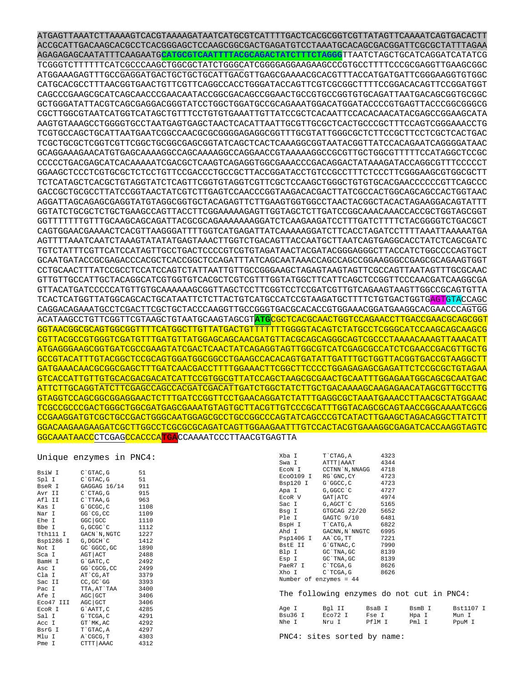ATGAGTTAAATCTTAAAAGTCACGTAAAAGATAATCATGCGTCATTTTGACTCACGCGGTCGTTATAGTTCAAAATCAGTGACACTT ACCGCATTGACAAGCACGCCTCACGGGAGCTCCAAGCGGCGACTGAGATGTCCTAAATGCACAGCGACGGATTCGCGCTATTTAGAA AGAGAGAGCAATATTTCAAGAATG**CATGCGTCAATTTTACGCAGACTATCTTTCTAGGG**TTAATCTAGCTGCATCAGGATCATATCG TCGGGTCTTTTTTCATCGCCCAAGCTGGCGCTATCTGGGCATCGGGGAGGAAGAAGCCCGTGCCTTTTCCCGCGAGGTTGAAGCGGC ATGGAAAGAGTTTGCCGAGGATGACTGCTGCTGCATTGACGTTGAGCGAAAACGCACGTTTACCATGATGATTCGGGAAGGTGTGGC CATGCACGCCTTTAACGGTGAACTGTTCGTTCAGGCCACCTGGGATACCAGTTCGTCGCGGCTTTTCCGGACACAGTTCCGGATGGT CAGCCCGAAGCGCATCAGCAACCCGAACAATACCGGCGACAGCCGGAACTGCCGTGCCGGTGTGCAGATTAATGACAGCGGTGCGGC GCTGGGATATTACGTCAGCGAGGACGGGTATCCTGGCTGGATGCCGCAGAAATGGACATGGATACCCCGTGAGTTACCCGGCGGGCG CGCTTGGCGTAATCATGGTCATAGCTGTTTCCTGTGTGAAATTGTTATCCGCTCACAATTCCACACAACATACGAGCCGGAAGCATA AAGTGTAAAGCCTGGGGTGCCTAATGAGTGAGCTAACTCACATTAATTGCGTTGCGCTCACTGCCCGCTTTCCAGTCGGGAAACCTG TCGTGCCAGCTGCATTAATGAATCGGCCAACGCGCGGGGAGAGGCGGTTTGCGTATTGGGCGCTCTTCCGCTTCCTCGCTCACTGAC TCGCTGCGCTCGGTCGTTCGGCTGCGGCGAGCGGTATCAGCTCACTCAAAGGCGGTAATACGGTTATCCACAGAATCAGGGGATAAC GCAGGAAAGAACATGTGAGCAAAAGGCCAGCAAAAGGCCAGGAACCGTAAAAAGGCCGCGTTGCTGGCGTTTTTCCATAGGCTCCGC CCCCCTGACGAGCATCACAAAAATCGACGCTCAAGTCAGAGGTGGCGAAACCCGACAGGACTATAAAGATACCAGGCGTTTCCCCCT GGAAGCTCCCTCGTGCGCTCTCCTGTTCCGACCCTGCCGCTTACCGGATACCTGTCCGCCTTTCTCCCTTCGGGAAGCGTGGCGCTT TCTCATAGCTCACGCTGTAGGTATCTCAGTTCGGTGTAGGTCGTTCGCTCCAAGCTGGGCTGTGTGCACGAACCCCCCGTTCAGCCC GACCGCTGCGCCTTATCCGGTAACTATCGTCTTGAGTCCAACCCGGTAAGACACGACTTATCGCCACTGGCAGCAGCCACTGGTAAC AGGATTAGCAGAGCGAGGTATGTAGGCGGTGCTACAGAGTTCTTGAAGTGGTGGCCTAACTACGGCTACACTAGAAGGACAGTATTT GGTATCTGCGCTCTGCTGAAGCCAGTTACCTTCGGAAAAAGAGTTGGTAGCTCTTGATCCGGCAAACAAACCACCGCTGGTAGCGGT GGTTTTTTTGTTTGCAAGCAGCAGATTACGCGCAGAAAAAAAGGATCTCAAGAAGATCCTTTGATCTTTTCTACGGGGTCTGACGCT CAGTGGAACGAAAACTCACGTTAAGGGATTTTGGTCATGAGATTATCAAAAAGGATCTTCACCTAGATCCTTTTAAATTAAAAATGA AGTTTTAAATCAATCTAAAGTATATATGAGTAAACTTGGTCTGACAGTTACCAATGCTTAATCAGTGAGGCACCTATCTCAGCGATC TGTCTATTTCGTTCATCCATAGTTGCCTGACTCCCCGTCGTGTAGATAACTACGATACGGGAGGGCTTACCATCTGGCCCCAGTGCT GCAATGATACCGCGAGACCCACGCTCACCGGCTCCAGATTTATCAGCAATAAACCAGCCAGCCGGAAGGGCCGAGCGCAGAAGTGGT CCTGCAACTTTATCCGCCTCCATCCAGTCTATTAATTGTTGCCGGGAAGCTAGAGTAAGTAGTTCGCCAGTTAATAGTTTGCGCAAC GTTGTTGCCATTGCTACAGGCATCGTGGTGTCACGCTCGTCGTTTGGTATGGCTTCATTCAGCTCCGGTTCCCAACGATCAAGGCGA GTTACATGATCCCCCATGTTGTGCAAAAAAGCGGTTAGCTCCTTCGGTCCTCCGATCGTTGTCAGAAGTAAGTTGGCCGCAGTGTTA TCACTCATGGTTATGGCAGCACTGCATAATTCTCTTACTGTCATGCCATCCGTAAGATGCTTTTCTGTGACTGGTGAGTGTACCAGC CAGGACAGAAATGCCTCGACTTCGCTGCTACCCAAGGTTGCCGGGTGACGCACACCGTGGAAACGGATGAAGGCACGAACCCAGTGG ACATAAGCCTGTTCGGTTCGTAAGCTGTAATGCAAGTAGCGT**ATG**CGCTCACGCAACTGGTCCAGAACCTTGACCGAACGCAGCGGT GGTAACGGCGCAGTGGCGGTTTTCATGGCTTGTTATGACTGTTTTTTTGGGGTACAGTCTATGCCTCGGGCATCCAAGCAGCAAGCG CGTTACGCCGTGGGTCGATGTTTGATGTTATGGAGCAGCAACGATGTTACGCAGCAGGGCAGTCGCCCTAAAACAAAGTTAAACATT ATGAGGGAAGCGGTGATCGCCGAAGTATCGACTCAACTATCAGAGGTAGTTGGCGTCATCGAGCGCCATCTCGAACCGACGTTGCTG GCCGTACATTTGTACGGCTCCGCAGTGGATGGCGGCCTGAAGCCACACAGTGATATTGATTTGCTGGTTACGGTGACCGTAAGGCTT GATGAAACAACGCGGCGAGCTTTGATCAACGACCTTTTGGAAACTTCGGCTTCCCCTGGAGAGAGCGAGATTCTCCGCGCTGTAGAA GTCACCATTGTTGTGCACGACGACATCATTCCGTGGCGTTATCCAGCTAAGCGCGAACTGCAATTTGGAGAATGGCAGCGCAATGAC ATTCTTGCAGGTATCTTCGAGCCAGCCACGATCGACATTGATCTGGCTATCTTGCTGACAAAAGCAAGAGAACATAGCGTTGCCTTG GTAGGTCCAGCGGCGGAGGAACTCTTTGATCCGGTTCCTGAACAGGATCTATTTGAGGCGCTAAATGAAACCTTAACGCTATGGAAC TCGCCGCCCGACTGGGCTGGCGATGAGCGAAATGTAGTGCTTACGTTGTCCCGCATTTGGTACAGCGCAGTAACCGGCAAAATCGCG CCGAAGGATGTCGCTGCCGACTGGGCAATGGAGCGCCTGCCGGCCCAGTATCAGCCCGTCATACTTGAAGCTAGACAGGCTTATCTT GGACAAGAAGAAGATCGCTTGGCCTCGCGCGCAGATCAGTTGGAAGAATTTGTCCACTACGTGAAAGGCGAGATCACCAAGGTAGTC GGCAAATAACCCTCGAGCCACCCA**TGA**CCAAAATCCCTTAACGTGAGTTA

## Unique enzymes in PNC4:

| BsiW I    | C`GTAC,G     | 51   |
|-----------|--------------|------|
| Spl I     | C`GTAC, G    | 51   |
| BseR I    | GAGGAG 16/14 | 911  |
| Avr II    | C`CTAG, G    | 915  |
| Afl II    | C`TTAA,G     | 963  |
| Kas I     | G`GCGC, C    | 1108 |
| Nar I     | GG`CG,CC     | 1109 |
| Ehe I     | GGC   GCC    | 1110 |
| Bbe I     | G, GCGC `C   | 1112 |
| Tth111 I  | GACN`N, NGTC | 1227 |
| Bsp1286 I | G, DGCH `C   | 1412 |
| Not I     | GC`GGCC,GC   | 1890 |
| Sca I     | AGT   ACT    | 2488 |
| BamH I    | G`GATC, C    | 2492 |
| Asc I     | GG`CGCG, CC  | 2499 |
| Cla I     | AT`CG,AT     | 3379 |
| Sac II    | CC, GC`GG    | 3393 |
| Pac I     | TTA, AT`TAA  | 3400 |
| Afe I     | AGC GCT      | 3406 |
| Eco47 III | AGC GCT      | 3406 |
| EcoR I    | G`AATT, C    | 4285 |
| Sal I     | G`TCGA, C    | 4291 |
| Acc I     | GT `MK, AC   | 4292 |
| BsrG I    | T`GTAC, A    | 4297 |
| Mlu I     | A`CGCG, T    | 4303 |
| Pme I     | CTTT AAAC    | 4312 |

|                        | XbaI T`CTAG,A 4323<br>SwaI ATTT AAAT 4344        |      |
|------------------------|--------------------------------------------------|------|
|                        | ECON I CCTNN'N, NNAGG 4718                       |      |
|                        | Eco0109 I RG`GNC, CY 4723                        |      |
|                        |                                                  |      |
|                        | Bsp120 I G`GGCC,C 4723<br>ApaI G,GGCC`C 4727     |      |
| Apa I<br>EcoR V        | 4974<br>$GAT$ $ATC$                              |      |
| Sac I                  | G, AGCT`C                                        | 5165 |
| Bsg I                  | GTGCAG 22/20 5652                                |      |
|                        | Ple I GAGTC 9/10 6481                            |      |
|                        | BspH I T`CATG, A                                 | 6822 |
|                        | Ahd I GACNN, N`NNGTC 6995                        |      |
|                        | Psp1406 I AA`CG,TT 7221<br>BstEII G`GTNAC,C 7990 |      |
|                        |                                                  |      |
|                        | Blp I GC TNA, GC 8139                            |      |
| Esp I                  | $GC$ `TNA, $GC$                                  | 8139 |
|                        | PaeR7 I C'TCGA, G 8626                           |      |
| Xho I C`TCGA,G         |                                                  | 8626 |
| Number of enzymes = 44 |                                                  |      |
|                        |                                                  |      |
|                        | The following enzymes do n                       |      |
|                        |                                                  |      |
| Age I                  | Bgl II BsaB I                                    |      |
|                        |                                                  |      |

| The following enzymes do not cut in PNC4: |  |  |  |
|-------------------------------------------|--|--|--|
|-------------------------------------------|--|--|--|

| Age I   | Bgl II  | BsaB T | BsmB I | Bst.1107 T |
|---------|---------|--------|--------|------------|
| Bsu36 I | ECO72 I | Fse I  | Hpa I  | Mun I      |
| Nhe I   | Nru I   | PflM T | Pml T  | PpuM I     |

PNC4: sites sorted by name: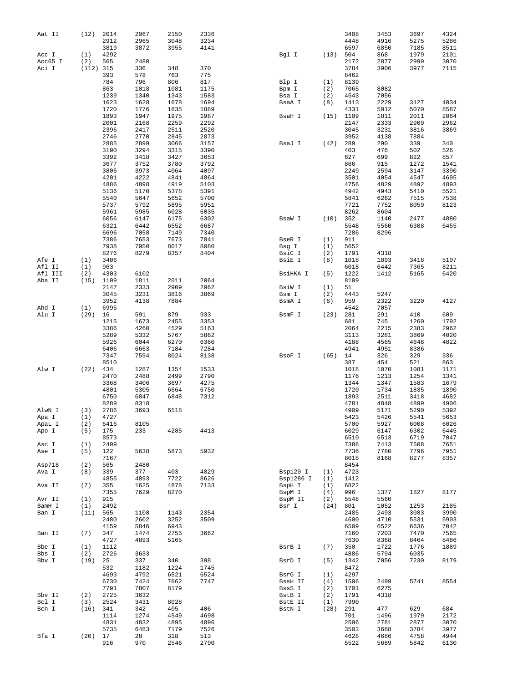| Aat II  | (12)      | 2014         | 2067         | 2150         | 2336         |           |      | 3408        | 3453 | 3697 | 4324 |
|---------|-----------|--------------|--------------|--------------|--------------|-----------|------|-------------|------|------|------|
|         |           | 2912         | 2965         | 3048         | 3234         |           |      | 4448        | 4916 | 5275 | 5286 |
|         |           | 3819         | 3872         | 3955         | 4141         |           |      | 6597        | 6850 | 7185 | 8511 |
| Acc I   | (1)       | 4292         |              |              |              | Bgl I     | (13) | 504         | 868  | 1979 | 2101 |
| Acc65 I | (2)       | 565          | 2480         |              |              |           |      | 2172        | 2877 | 2999 | 3070 |
| Aci I   | (112) 315 |              | 336          | 348          | 370          |           |      | 3784        | 3906 | 3977 | 7115 |
|         |           | 393          | 578          | 763          | 775          |           |      | 8462        |      |      |      |
|         |           | 784          | 796          | 806          | 817          | Blp I     | (1)  | 8139        |      |      |      |
|         |           | 863          | 1018         | 1081         | 1175         | Bpm I     | (2)  | 7065        | 8082 |      |      |
|         |           | 1239         | 1340         | 1343         | 1583         | Bsa I     | (2)  | 4543        | 7056 |      |      |
|         |           | 1623         | 1628         | 1678         | 1694         | BsaA I    | (8)  | 1413        | 2229 | 3127 | 4034 |
|         |           | 1720         | 1776         | 1835         | 1889         |           |      | 4331        | 5012 | 5070 | 8587 |
|         |           | 1893         | 1947         | 1975         | 1987         | BsaH I    | (15) | 1109        | 1811 | 2011 | 2064 |
|         |           | 2001         | 2168         | 2259         | 2292         |           |      | 2147        | 2333 | 2909 | 2962 |
|         |           | 2396         | 2417         | 2511         | 2520         |           |      | 3045        | 3231 | 3816 | 3869 |
|         |           | 2746         | 2770         | 2845         | 2873         |           |      | 3952        | 4138 | 7884 |      |
|         |           | 2885         | 2899         | 3066         | 3157         | BsaJ I    | (42) | 289         | 290  | 339  | 340  |
|         |           | 3190         | 3294         | 3315         | 3390         |           |      | 403         | 476  | 502  | 526  |
|         |           | 3392         | 3418         | 3427         | 3653         |           |      | 627         | 699  | 822  | 857  |
|         |           | 3677         | 3752         | 3780         | 3792         |           |      | 866         | 915  | 1272 | 1541 |
|         |           | 3806         | 3973         | 4064         | 4097         |           |      | 2249        | 2594 | 3147 | 3390 |
|         |           | 4201         | 4222         | 4841         | 4864         |           |      | 3501        | 4054 | 4547 | 4695 |
|         |           | 4886         | 4898         | 4919         | 5103         |           |      | 4756        | 4829 | 4892 | 4893 |
|         |           | 5136         | 5170         | 5378         | 5391         |           |      | 4942        | 4943 | 5410 | 5521 |
|         |           | 5540         | 5647         | 5652         | 5700         |           |      | 5841        | 6262 | 7515 | 7538 |
|         |           | 5737         | 5792         | 5895         | 5951         |           |      | 7721        | 7752 | 8059 | 8123 |
|         |           | 5961         | 5985         | 6028         | 6035         |           |      | 8262        | 8604 |      |      |
|         |           | 6056         | 6147         | 6175         | 6302         | BsaW I    | (10) | 352         | 1140 | 2477 | 4880 |
|         |           | 6321         | 6442         | 6552         | 6687         |           |      | 5548        | 5560 | 6308 | 6455 |
|         |           |              |              |              |              |           |      |             |      |      |      |
|         |           | 6696<br>7386 | 7058<br>7653 | 7149<br>7673 | 7340<br>7841 | BseR I    | (1)  | 7286<br>911 | 8296 |      |      |
|         |           |              |              |              |              |           |      |             |      |      |      |
|         |           | 7938         | 7950         | 8017         | 8080         | Bsg I     | (1)  | 5652        |      |      |      |
|         |           | 8276         | 8279         | 8357         | 8404         | BsiC I    | (2)  | 1791        | 4318 |      |      |
| Afe I   | (1)       | 3406         |              |              |              | BsiE I    | (8)  | 1018        | 1893 | 3418 | 5107 |
| Afl II  | (1)       | 963          |              |              |              |           |      | 6018        | 6442 | 7365 | 8211 |
| Afl III | (2)       | 4303         | 6102         |              |              | BsiHKA I  | (5)  | 1222        | 1412 | 5165 | 6420 |
| Aha II  | (15)      | 1109         | 1811         | 2011         | 2064         |           |      | 8109        |      |      |      |
|         |           | 2147         | 2333         | 2909         | 2962         | BsiW I    | (1)  | 51          |      |      |      |
|         |           | 3045         | 3231         | 3816         | 3869         | Bsm I     | (2)  | 4443        | 5247 |      |      |
|         |           | 3952         | 4138         | 7884         |              | BsmA I    | (6)  | 959         | 2322 | 3220 | 4127 |
| Ahd I   | (1)       | 6995         |              |              |              |           |      | 4542        | 7057 |      |      |
| Alu I   | (29)      | 16           | 591          | 879          | 933          | BsmF I    | (23) | 281         | 291  | 410  | 609  |
|         |           | 1215         | 1673         | 2455         | 3353         |           |      | 681         | 745  | 1260 | 1792 |
|         |           | 3386         | 4260         | 4529         | 5163         |           |      | 2064        | 2215 | 2383 | 2962 |
|         |           | 5289         | 5332         | 5767         | 5862         |           |      | 3113        | 3281 | 3869 | 4020 |
|         |           | 5926         | 6044         | 6270         | 6360         |           |      | 4188        | 4565 | 4648 | 4822 |
|         |           | 6406         | 6663         | 7184         | 7284         |           |      | 4941        | 4951 | 8386 |      |
|         |           | 7347         | 7594         | 8024         | 8138         | BsoF I    | (65) | 14          | 326  | 329  | 336  |
|         |           | 8510         |              |              |              |           |      | 387         | 454  | 521  | 863  |
| Alw I   | (22)      | 434          | 1287         | 1354         | 1533         |           |      | 1018        | 1070 | 1081 | 1171 |
|         |           | 2470         | 2488         | 2499         | 2790         |           |      | 1176        | 1213 | 1254 | 1341 |
|         |           | 3368         | 3406         | 3697         | 4275         |           |      | 1344        | 1347 | 1583 | 1679 |
|         |           | 4801         | 5305         | 6664         | 6750         |           |      | 1720        | 1734 | 1835 | 1890 |
|         |           | 6750         | 6847         | 6848         | 7312         |           |      | 1893        | 2511 | 3418 | 4682 |
|         |           | 8289         | 8318         |              |              |           |      | 4781        | 4848 | 4899 | 4906 |
| AlwN I  | (3)       | 2786         | 3693         | 6518         |              |           |      | 4909        | 5171 | 5290 | 5392 |
| Apa I   | (1)       | 4727         |              |              |              |           |      | 5423        | 5426 | 5541 | 5653 |
| ApaL I  | (2)       | 6416         | 8105         |              |              |           |      | 5700        | 5927 | 6008 | 6026 |
| Apo I   | (5)       | 175          | 233          | 4285         | 4413         |           |      | 6029        | 6147 | 6302 | 6445 |
|         |           | 8573         |              |              |              |           |      | 6510        | 6513 | 6719 | 7047 |
| Asc I   | (1)       | 2499         |              |              |              |           |      | 7386        | 7413 | 7508 | 7651 |
| Ase I   | (5)       | 122          | 5638         | 5873         | 5932         |           |      | 7736        | 7780 | 7796 | 7951 |
|         |           | 7167         |              |              |              |           |      | 8018        | 8168 | 8277 | 8357 |
| Asp718  | (2)       | 565          | 2480         |              |              |           |      | 8454        |      |      |      |
| Ava I   | (8)       | 339          | 377          | 403          | 4829         | Bsp120 I  | (1)  | 4723        |      |      |      |
|         |           | 4855         | 4893         | 7722         | 8626         | Bsp1286 I | (1)  | 1412        |      |      |      |
| Ava II  | (7)       | 355          | 1625         | 4878         | 7133         | BspH I    | (1)  | 6822        |      |      |      |
|         |           | 7355         | 7629         | 8270         |              | BspM I    | (4)  | 996         | 1377 | 1827 | 8177 |
| Avr II  | (1)       | 915          |              |              |              | BspM II   | (2)  | 5548        | 5560 |      |      |
| BamH I  | (1)       | 2492         |              |              |              | Bsr I     | (24) | 801         | 1052 | 1253 | 2185 |
| Ban I   | (11)      | 565          | 1108         | 1143         | 2354         |           |      | 2485        | 2493 | 3083 | 3990 |
|         |           |              |              |              |              |           |      |             |      |      |      |
|         |           | 2480         | 2602         | 3252         | 3509         |           |      | 4600        | 4710 | 5531 | 5903 |
|         |           | 4159         | 5846         | 6943         |              |           |      | 6509        | 6522 | 6636 | 7042 |
| Ban II  | (7)       | 347          | 1474         | 2755         | 3662         |           |      | 7160        | 7203 | 7470 | 7565 |
|         |           | 4727         | 4893         | 5165         |              |           |      | 7630        | 8368 | 8464 | 8486 |
| Bbe I   | (1)       | 1112         |              |              |              | BsrB I    | (7)  | 350         | 1722 | 1776 | 1889 |
| Bbs I   | (2)       | 2726         | 3633         |              |              |           |      | 4886        | 5794 | 6035 |      |
| Bbv I   | (19)      | 25           | 337          | 340          | 398          | BsrD I    | (5)  | 1342        | 7056 | 7230 | 8179 |
|         |           | 532          | 1182         | 1224         | 1745         |           |      | 8472        |      |      |      |
|         |           | 4693         | 4792         | 6521         | 6524         | BsrG I    | (1)  | 4297        |      |      |      |
|         |           | 6730         | 7424         | 7662         | 7747         | BssH II   | (4)  | 1506        | 2499 | 5741 | 8554 |
|         |           | 7791         | 7807         | 8179         |              | BssS I    | (2)  | 1701        | 6275 |      |      |
| Bbv II  | (2)       | 2725         | 3632         |              |              | BstB I    | (2)  | 1791        | 4318 |      |      |
| Bcl I   | (3)       | 2524         | 3431         | 8028         |              | BstE II   | (1)  | 7990        |      |      |      |
| Bcn I   | (16)      | 341          | 342          | 405          | 406          | BstN I    | (28) | 291         | 477  | 629  | 684  |
|         |           | 1114         | 1274         | 4549         | 4698         |           |      | 701         | 1496 | 1979 | 2172 |
|         |           | 4831         | 4832         | 4895         | 4896         |           |      | 2596        | 2781 | 2877 | 3070 |
|         |           | 5735         | 6483         | 7179         | 7526         |           |      | 3503        | 3688 | 3784 | 3977 |
| Bfa I   | (20)      | 17           | 28           | 318          | 513          |           |      | 4628        | 4686 | 4758 | 4944 |
|         |           | 916          | 970          | 2546         | 2790         |           |      | 5522        | 5689 | 5842 | 6130 |
|         |           |              |              |              |              |           |      |             |      |      |      |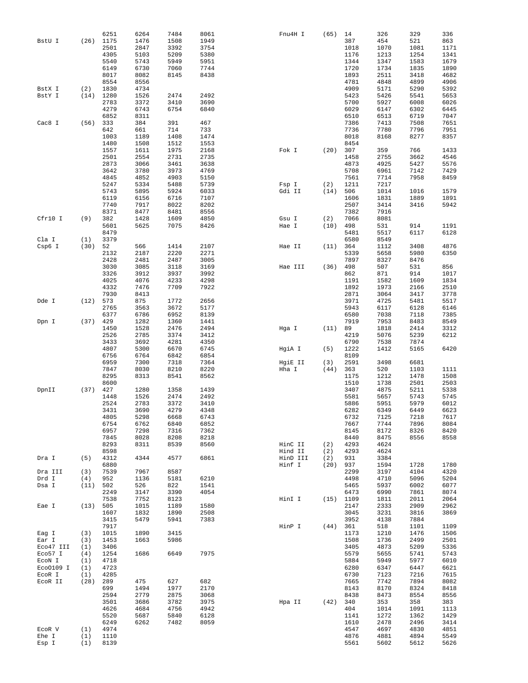|           |          | 6251 | 6264 | 7484 | 8061 | Fnu4H I  | (65)       | 14          | 326  | 329  | 336  |
|-----------|----------|------|------|------|------|----------|------------|-------------|------|------|------|
| BstU I    | (26)     | 1175 | 1476 | 1508 | 1949 |          |            | 387         | 454  | 521  | 863  |
|           |          | 2501 | 2847 | 3392 | 3754 |          |            | 1018        | 1070 | 1081 | 1171 |
|           |          | 4305 | 5103 | 5209 | 5380 |          |            | 1176        | 1213 | 1254 | 1341 |
|           |          | 5540 | 5743 | 5949 | 5951 |          |            | 1344        | 1347 | 1583 | 1679 |
|           |          | 6149 | 6730 | 7060 | 7744 |          |            | 1720        | 1734 | 1835 | 1890 |
|           |          | 8017 | 8082 | 8145 | 8438 |          |            | 1893        | 2511 | 3418 | 4682 |
|           |          | 8554 | 8556 |      |      |          |            | 4781        | 4848 | 4899 | 4906 |
| BstX I    | (2)      | 1830 | 4734 |      |      |          |            | 4909        | 5171 | 5290 | 5392 |
| BstY I    | (14)     | 1280 | 1526 | 2474 | 2492 |          |            | 5423        | 5426 | 5541 | 5653 |
|           |          | 2783 | 3372 | 3410 | 3690 |          |            | 5700        | 5927 | 6008 | 6026 |
|           |          | 4279 | 6743 | 6754 | 6840 |          |            | 6029        | 6147 | 6302 | 6445 |
|           |          | 6852 | 8311 |      |      |          |            | 6510        | 6513 | 6719 | 7047 |
| Cac8 I    | (56)     | 333  | 384  | 391  | 467  |          |            | 7386        | 7413 | 7508 | 7651 |
|           |          | 642  | 661  | 714  | 733  |          |            | 7736        | 7780 | 7796 | 7951 |
|           |          | 1003 | 1189 | 1408 | 1474 |          |            | 8018        | 8168 | 8277 | 8357 |
|           |          | 1480 | 1508 | 1512 | 1553 |          |            | 8454        |      |      |      |
|           |          | 1557 | 1611 | 1975 | 2168 | Fok I    | (20)       | 307         | 359  | 766  | 1433 |
|           |          | 2501 | 2554 | 2731 | 2735 |          |            | 1458        | 2755 | 3662 | 4546 |
|           |          | 2873 | 3066 | 3461 | 3638 |          |            |             | 4925 | 5427 |      |
|           |          |      |      |      |      |          |            | 4873        |      |      | 5576 |
|           |          | 3642 | 3780 | 3973 | 4769 |          |            | 5708        | 6961 | 7142 | 7429 |
|           |          | 4845 | 4852 | 4903 | 5150 |          |            | 7561        | 7714 | 7958 | 8459 |
|           |          | 5247 | 5334 | 5488 | 5739 | Fsp I    | (2)        | 1211        | 7217 |      |      |
|           |          | 5743 | 5895 | 5924 | 6033 | Gdi II   | (14)       | 506         | 1014 | 1016 | 1579 |
|           |          | 6119 | 6156 | 6716 | 7107 |          |            | 1606        | 1831 | 1889 | 1891 |
|           |          | 7740 | 7917 | 8022 | 8202 |          |            | 2507        | 3414 | 3416 | 5942 |
|           |          | 8371 | 8477 | 8481 | 8556 |          |            | 7382        | 7916 |      |      |
| Cfr10 I   | (9)      | 382  | 1428 | 1609 | 4850 | Gsu I    | (2)        | 7066        | 8081 |      |      |
|           |          | 5601 | 5625 | 7075 | 8426 | Hae I    | (10)       | 498         | 531  | 914  | 1191 |
|           |          | 8479 |      |      |      |          |            | 5481        | 5517 | 6117 | 6128 |
| Cla I     | (1)      | 3379 |      |      |      |          |            | 6580        | 8549 |      |      |
| Csp6 I    | (30)     | 52   | 566  | 1414 | 2107 | Hae II   | (11)       | 364         | 1112 | 3408 | 4876 |
|           |          | 2132 | 2187 | 2220 | 2271 |          |            | 5339        | 5658 | 5980 | 6350 |
|           |          | 2428 | 2481 | 2487 | 3005 |          |            | 7897        | 8327 | 8476 |      |
|           |          | 3030 | 3085 | 3118 | 3169 | Hae III  | (36)       | 498         | 507  | 531  | 856  |
|           |          | 3326 | 3912 | 3937 | 3992 |          |            | 862         | 871  | 914  | 1017 |
|           |          | 4025 | 4076 | 4233 | 4298 |          |            | 1191        | 1582 | 1609 | 1834 |
|           |          | 4332 | 7476 | 7709 | 7922 |          |            | 1892        | 1973 | 2166 | 2510 |
|           |          | 7930 | 8413 |      |      |          |            | 2871        | 3064 | 3417 | 3778 |
| Dde I     | (12)     | 573  | 875  | 1772 | 2656 |          |            | 3971        | 4725 | 5481 | 5517 |
|           |          | 2765 | 3563 | 3672 | 5177 |          |            | 5943        | 6117 | 6128 | 6146 |
|           |          | 6377 | 6786 | 6952 | 8139 |          |            | 6580        | 7038 | 7118 | 7385 |
|           |          |      |      |      |      |          |            |             |      |      |      |
| Dpn I     | (37)     | 429  | 1282 | 1360 | 1441 |          |            | 7919        | 7953 | 8483 | 8549 |
|           |          | 1450 | 1528 | 2476 | 2494 | Hga I    | (11)       | 89          | 1818 | 2414 | 3312 |
|           |          | 2526 | 2785 | 3374 | 3412 |          |            | 4219        | 5076 | 5239 | 6212 |
|           |          | 3433 | 3692 | 4281 | 4350 |          |            | 6790        | 7538 | 7874 |      |
|           |          | 4807 | 5300 | 6670 | 6745 | HgiA I   | (5)        | 1222        | 1412 | 5165 | 6420 |
|           |          | 6756 | 6764 | 6842 | 6854 |          |            | 8109        |      |      |      |
|           |          | 6959 | 7300 | 7318 | 7364 | HgiE II  | (3)        | 2591        | 3498 | 6681 |      |
|           |          | 7847 | 8030 | 8210 | 8220 | Hha I    | (44)       | 363         | 520  | 1103 | 1111 |
|           |          | 8295 | 8313 | 8541 | 8562 |          |            | 1175        | 1212 | 1478 | 1508 |
|           |          | 8600 |      |      |      |          |            | 1510        | 1738 | 2501 | 2503 |
| DpnII     | (37)     | 427  | 1280 | 1358 | 1439 |          |            | 3407        | 4875 | 5211 | 5338 |
|           |          | 1448 | 1526 | 2474 | 2492 |          |            | 5581        | 5657 | 5743 | 5745 |
|           |          | 2524 | 2783 | 3372 | 3410 |          |            | 5886        | 5951 | 5979 | 6012 |
|           |          | 3431 | 3690 | 4279 | 4348 |          |            | 6282        | 6349 | 6449 | 6623 |
|           |          | 4805 | 5298 | 6668 | 6743 |          |            | 6732        | 7125 | 7218 | 7617 |
|           |          | 6754 | 6762 | 6840 | 6852 |          |            | 7667        | 7744 | 7896 | 8084 |
|           |          | 6957 | 7298 | 7316 | 7362 |          |            | 8145        | 8172 | 8326 | 8420 |
|           |          | 7845 | 8028 | 8208 | 8218 |          |            | 8440        | 8475 | 8556 | 8558 |
|           |          | 8293 | 8311 | 8539 | 8560 | HinC II  | (2)        | 4293        | 4624 |      |      |
|           |          | 8598 |      |      |      | Hind II  | (2)        | 4293        | 4624 |      |      |
| Dra I     | (5)      | 4312 | 4344 | 4577 | 6861 | HinD III | (2)        | 931         | 3384 |      |      |
|           |          | 6880 |      |      |      | Hinf I   | $(20)$ 937 |             | 1594 | 1728 | 1780 |
| Dra III   | (3)      | 7539 | 7967 | 8587 |      |          |            | 2299        | 3197 | 4104 | 4320 |
| Drd I     | (4)      | 952  | 1136 | 5181 | 6210 |          |            | 4498        | 4710 | 5096 | 5204 |
| Dsa I     | (11)     | 502  | 526  | 822  | 1541 |          |            | 5465        | 5937 | 6002 | 6077 |
|           |          | 2249 | 3147 | 3390 | 4054 |          |            | 6473        | 6990 | 7861 | 8074 |
|           |          | 7538 | 7752 | 8123 |      | HinI I   |            | $(15)$ 1109 | 1811 | 2011 | 2064 |
| Eae I     | (13) 505 |      | 1015 | 1189 | 1580 |          |            | 2147        | 2333 | 2909 | 2962 |
|           |          | 1607 | 1832 | 1890 | 2508 |          |            | 3045        | 3231 | 3816 | 3869 |
|           |          | 3415 | 5479 | 5941 | 7383 |          |            | 3952        | 4138 | 7884 |      |
|           |          | 7917 |      |      |      | HinP I   |            |             | 518  | 1101 | 1109 |
|           |          |      |      |      |      |          | (44) 361   |             |      |      |      |
| Eag I     | (3)      | 1015 | 1890 | 3415 |      |          |            | 1173        | 1210 | 1476 | 1506 |
| Ear I     | (3)      | 1453 | 1663 | 5986 |      |          |            | 1508        | 1736 | 2499 | 2501 |
| Eco47 III | (1)      | 3406 |      |      |      |          |            | 3405        | 4873 | 5209 | 5336 |
| Eco57 I   | (4)      | 1254 | 1686 | 6649 | 7975 |          |            | 5579        | 5655 | 5741 | 5743 |
| ECON I    | (1)      | 4718 |      |      |      |          |            | 5884        | 5949 | 5977 | 6010 |
| Eco0109 I | (1)      | 4723 |      |      |      |          |            | 6280        | 6347 | 6447 | 6621 |
| ECOR I    | (1)      | 4285 |      |      |      |          |            | 6730        | 7123 | 7216 | 7615 |
| ECOR II   | (28)     | 289  | 475  | 627  | 682  |          |            | 7665        | 7742 | 7894 | 8082 |
|           |          | 699  | 1494 | 1977 | 2170 |          |            | 8143        | 8170 | 8324 | 8418 |
|           |          | 2594 | 2779 | 2875 | 3068 |          |            | 8438        | 8473 | 8554 | 8556 |
|           |          | 3501 | 3686 | 3782 | 3975 | Hpa II   | $(42)$ 340 |             | 353  | 358  | 383  |
|           |          | 4626 | 4684 | 4756 | 4942 |          |            | 404         | 1014 | 1091 | 1113 |
|           |          | 5520 | 5687 | 5840 | 6128 |          |            | 1141        | 1272 | 1362 | 1429 |
|           |          | 6249 | 6262 | 7482 | 8059 |          |            | 1610        | 2478 | 2496 | 3414 |
| ECOR V    | (1)      | 4974 |      |      |      |          |            | 4547        | 4697 | 4830 | 4851 |
| Ehe I     | (1)      | 1110 |      |      |      |          |            | 4876        | 4881 | 4894 | 5549 |
| Esp I     | (1)      | 8139 |      |      |      |          |            | 5561        | 5602 | 5612 | 5626 |
|           |          |      |      |      |      |          |            |             |      |      |      |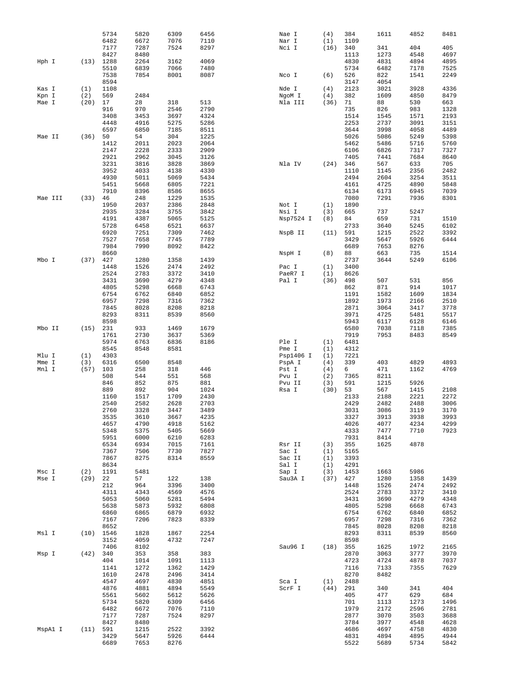|         |      | 5734         | 5820         | 6309         | 6456         | Nae I           | (4)        | 384          | 1611         | 4852         | 8481         |
|---------|------|--------------|--------------|--------------|--------------|-----------------|------------|--------------|--------------|--------------|--------------|
|         |      | 6482         | 6672         | 7076         | 7110         | Nar I           | (1)        | 1109         |              |              |              |
|         |      | 7177         | 7287         | 7524         | 8297         | Nci I           | (16)       | 340          | 341          | 404          | 405          |
|         |      | 8427         | 8480         |              |              |                 |            | 1113         | 1273         | 4548         | 4697         |
| Hph I   | (13) | 1288         | 2264         | 3162         | 4069         |                 |            | 4830         | 4831         | 4894         | 4895         |
|         |      | 5510         | 6839         | 7066         | 7480         |                 |            | 5734         | 6482         | 7178         | 7525         |
|         |      | 7538         | 7854         | 8001         | 8087         | Nco I           | (6)        | 526          | 822          | 1541         | 2249         |
|         |      | 8594         |              |              |              |                 |            | 3147         | 4054         |              |              |
| Kas I   | (1)  | 1108         |              |              |              | Nde I           | (4)        | 2123         | 3021         | 3928         | 4336         |
| Kpn I   | (2)  | 569          | 2484         |              |              | NgoM I          | (4)        | 382          | 1609         | 4850         | 8479         |
| Mae I   | (20) | 17           | 28           | 318          | 513          | Nla III         | (36)       | 71           | 88           | 530          | 663          |
|         |      | 916          | 970          | 2546         | 2790         |                 |            | 735          | 826          | 983          | 1328         |
|         |      | 3408         | 3453         | 3697         | 4324         |                 |            | 1514         | 1545         | 1571         | 2193         |
|         |      | 4448         | 4916         | 5275         | 5286         |                 |            | 2253         | 2737         | 3091         | 3151         |
|         |      | 6597         | 6850         | 7185         | 8511         |                 |            | 3644         | 3998         | 4058         | 4489         |
| Mae II  | (36) | 50           | 54           | 304          | 1225         |                 |            | 5026         | 5086         | 5249         | 5398         |
|         |      | 1412         | 2011         | 2023         | 2064         |                 |            | 5462         | 5486         | 5716         | 5760         |
|         |      | 2147         | 2228         | 2333         | 2909         |                 |            | 6106         | 6826         | 7317         | 7327         |
|         |      | 2921         | 2962         | 3045         | 3126         |                 |            | 7405         | 7441         | 7684         | 8640         |
|         |      | 3231         | 3816         | 3828         | 3869         | Nla IV          | (24)       | 346          | 567          | 633          | 705          |
|         |      | 3952         | 4033         | 4138         | 4330         |                 |            | 1110         | 1145         | 2356         | 2482         |
|         |      | 4930         | 5011         | 5069         | 5434         |                 |            | 2494         | 2604         | 3254         | 3511         |
|         |      | 5451         | 5668         | 6805         | 7221         |                 |            | 4161         | 4725         | 4890         | 5848         |
|         |      | 7910         | 8396         | 8586         | 8655         |                 |            | 6134         | 6173         | 6945         | 7039         |
| Mae III | (33) | 46           | 248          | 1229         | 1535         |                 |            | 7080         | 7291         | 7936         | 8301         |
|         |      | 1950         | 2037         | 2386         | 2848         | Not I           | (1)        | 1890         |              |              |              |
|         |      | 2935         | 3284         | 3755         | 3842         | Nsi I           | (3)        | 665          | 737          | 5247         |              |
|         |      | 4191         | 4387         | 5065         | 5125         | Nsp7524 I       | (8)        | 84           | 659          | 731          | 1510         |
|         |      | 5728         | 6458         | 6521         | 6637         |                 |            | 2733         | 3640         | 5245         | 6102         |
|         |      | 6920         | 7251         | 7309         | 7462         | NspB II         | (11)       | 591          | 1215         | 2522         | 3392         |
|         |      | 7527         | 7658         | 7745         | 7789         |                 |            | 3429         | 5647         | 5926         | 6444         |
|         |      | 7984         | 7990         | 8092         | 8422         |                 |            | 6689         | 7653         | 8276         |              |
|         |      | 8660         |              |              |              | NspH I          | (8)        | 88           | 663          | 735          | 1514         |
| Mbo I   | (37) | 427          | 1280         | 1358         | 1439         |                 |            | 2737         | 3644         | 5249         | 6106         |
|         |      | 1448         | 1526         | 2474         | 2492         | Pac $I$         | (1)        | 3400         |              |              |              |
|         |      | 2524         | 2783         | 3372         | 3410         | PaeR7 I         | (1)        | 8626         |              |              |              |
|         |      | 3431         | 3690         | 4279         | 4348         | Pal I           | (36)       | 498          | 507          | 531          | 856          |
|         |      | 4805         | 5298         | 6668         | 6743         |                 |            | 862          | 871          | 914          | 1017         |
|         |      | 6754         | 6762         | 6840         | 6852         |                 |            | 1191         | 1582         | 1609         | 1834         |
|         |      | 6957         | 7298         | 7316         | 7362         |                 |            | 1892         | 1973         | 2166         | 2510         |
|         |      | 7845         | 8028         | 8208         | 8218         |                 |            | 2871         | 3064         | 3417         | 3778         |
|         |      | 8293         | 8311         | 8539         | 8560         |                 |            | 3971         | 4725         | 5481         | 5517         |
|         |      | 8598         |              |              |              |                 |            | 5943         | 6117         | 6128         | 6146         |
| Mbo II  | (15) | 231          | 933          | 1469         | 1679         |                 |            | 6580         | 7038         | 7118         | 7385         |
|         |      | 1761         | 2730         | 3637         | 5369         |                 |            | 7919         | 7953         | 8483         | 8549         |
|         |      | 5974         | 6763         | 6836         | 8186         | Ple I           | (1)        | 6481         |              |              |              |
|         |      | 8545         | 8548         | 8581         |              | Pme I           | (1)        | 4312         |              |              |              |
| Mlu I   | (1)  | 4303         |              |              |              | Psp1406 I       | (1)        | 7221         |              |              |              |
| Mme I   | (3)  | 6316         | 6500         | 8548         |              | PspA I          | (4)        | 339          | 403          | 4829         | 4893         |
| Mnl I   | (57) | 103          | 258          | 318          | 446          | Pst I           | (4)        | 6            | 471          | 1162         | 4769         |
|         |      | 508          | 544          | 551          | 568          | Pvu I           | (2)        | 7365         | 8211         |              |              |
|         |      | 846          | 852          | 875          | 881          | Pvu II          | (3)        | 591          | 1215         | 5926         |              |
|         |      | 889          | 892          | 904          | 1024         | Rsa I           | (30)       | 53           | 567          | 1415         | 2108         |
|         |      | 1160         | 1517         | 1709         | 2430         |                 |            | 2133         | 2188         | 2221         | 2272         |
|         |      | 2540         | 2582         | 2628         | 2703         |                 |            | 2429         | 2482         | 2488         | 3006         |
|         |      | 2760         | 3328         | 3447         | 3489         |                 |            | 3031         | 3086         | 3119         | 3170         |
|         |      | 3535         | 3610         |              |              |                 |            |              |              |              |              |
|         |      | 4657         |              |              |              |                 |            |              |              |              |              |
|         |      |              |              | 3667         | 4235         |                 |            | 3327         | 3913         | 3938         | 3993         |
|         |      |              | 4790         | 4918         | 5162         |                 |            | 4026         | 4077         | 4234         | 4299         |
|         |      | 5348<br>5951 | 5375<br>6000 | 5405<br>6210 | 5669<br>6283 |                 |            | 4333<br>7931 | 7477<br>8414 | 7710         | 7923         |
|         |      |              |              |              |              |                 |            |              |              |              |              |
|         |      | 6534         | 6934         | 7015         | 7161         | Rsr II          | (3)        | 355          | 1625         | 4878         |              |
|         |      | 7367<br>7867 | 7506<br>8275 | 7730<br>8314 | 7827<br>8559 | Sac I<br>Sac II | (1)<br>(1) | 5165<br>3393 |              |              |              |
|         |      | 8634         |              |              |              | Sal I           | (1)        | 4291         |              |              |              |
| Msc I   | (2)  | 1191         | 5481         |              |              | Sap I           | (3)        | 1453         | 1663         | 5986         |              |
| Mse I   | (29) | 22           | 57           | 122          | 138          | Sau3A I         | $(37)$ 427 |              | 1280         | 1358         | 1439         |
|         |      | 212          | 964          | 3396         | 3400         |                 |            | 1448         | 1526         | 2474         | 2492         |
|         |      |              |              |              |              |                 |            |              |              |              |              |
|         |      | 4311         | 4343         | 4569         | 4576         |                 |            | 2524         | 2783         | 3372         | 3410         |
|         |      | 5053         | 5060         | 5281         | 5494         |                 |            | 3431         | 3690         | 4279         | 4348         |
|         |      | 5638         | 5873         | 5932         | 6808         |                 |            | 4805         | 5298         | 6668         | 6743         |
|         |      | 6860<br>7167 | 6865<br>7206 | 6879<br>7823 | 6932<br>8339 |                 |            | 6754<br>6957 | 6762<br>7298 | 6840<br>7316 | 6852         |
|         |      |              |              |              |              |                 |            |              |              |              | 7362         |
| Msl I   | (10) | 8652         | 1828         | 1867         | 2254         |                 |            | 7845         | 8028         | 8208<br>8539 | 8218         |
|         |      | 1546         |              |              |              |                 |            | 8293         | 8311         |              | 8560         |
|         |      | 3152<br>7406 | 4059<br>8102 | 4732         | 7247         | Sau96 I         | (18)       | 8598<br>355  | 1625         | 1972         |              |
| Msp I   | (42) | 340          | 353          | 358          | 383          |                 |            | 2870         | 3063         | 3777         | 2165<br>3970 |
|         |      | 404          | 1014         | 1091         | 1113         |                 |            | 4723         | 4724         | 4878         |              |
|         |      | 1141         | 1272         | 1362         | 1429         |                 |            |              |              | 7355         | 7037         |
|         |      |              |              |              |              |                 |            | 7116         | 7133         |              | 7629         |
|         |      | 1610         | 2478         | 2496         | 3414         |                 |            | 8270         | 8482         |              |              |
|         |      | 4547         | 4697         | 4830         | 4851         | Sca I           | (1)        | 2488         |              |              |              |
|         |      | 4876<br>5561 | 4881<br>5602 | 4894<br>5612 | 5549<br>5626 | ScrF I          | (44)       | 291<br>405   | 340<br>477   | 341<br>629   | 404          |
|         |      | 5734         |              |              | 6456         |                 |            | 701          | 1113         | 1273         | 684<br>1496  |
|         |      |              | 5820         | 6309<br>7076 | 7110         |                 |            | 1979         |              | 2596         |              |
|         |      | 6482         | 6672         |              |              |                 |            |              | 2172         |              | 2781         |
|         |      | 7177         | 7287         | 7524         | 8297         |                 |            | 2877         | 3070         | 3503         | 3688         |
|         |      | 8427         | 8480         |              |              |                 |            | 3784         | 3977         | 4548         | 4628         |
| MspAl I | (11) | 591          | 1215         | 2522         | 3392         |                 |            | 4686         | 4697         | 4758         | 4830         |
|         |      | 3429<br>6689 | 5647<br>7653 | 5926<br>8276 | 6444         |                 |            | 4831<br>5522 | 4894<br>5689 | 4895<br>5734 | 4944<br>5842 |